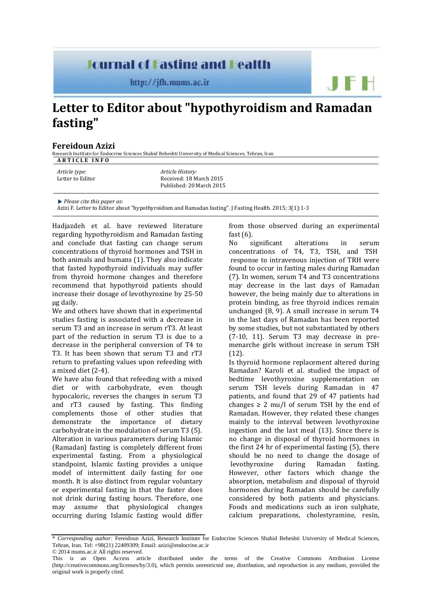## **Journal of Fasting and Health**

http://jfh.mums.ac.ir

## **Letter to Editor about "hypothyroidism and Ramadan fasting"**

## **[Fereidoun](http://jfh.mums.ac.ir/?_action=article&au=9450&_au=Fereidoun++Azizi) Azizi**

Research Institute for Endocrine Sciences Shahid Beheshti University of Medical Sciences, Tehran, Iran **A R T I C L E I N F O**

*Please cite this paper as*:

[Azizi](http://jfh.mums.ac.ir/?_action=article&au=9450&_au=Fereidoun++Azizi) F. Letter to Editor about "hypothyroidism and Ramadan fasting". J Fasting Health. 2015; 3(1):1-3

Hadjazdeh et al. have reviewed literature regarding hypothyroidism and Ramadan fasting and conclude that fasting can change serum concentrations of thyroid hormones and TSH in both animals and humans (1). They also indicate that fasted hypothyroid individuals may suffer from thyroid hormone changes and therefore recommend that hypothyroid patients should increase their dosage of levothyroxine by 25-50 µg daily.

We and others have shown that in experimental studies fasting is associated with a decrease in serum T3 and an increase in serum rT3. At least part of the reduction in serum T3 is due to a decrease in the peripheral conversion of T4 to T3. It has been shown that serum T3 and rT3 return to prefasting values upon refeeding with a mixed diet (2-4).

We have also found that refeeding with a mixed diet or with carbohydrate, even though hypocaloric, reverses the changes in serum T3 and rT3 caused by fasting. This finding complements those of other studies that demonstrate the importance of dietary carbohydrate in the modulation of serum T3 (5). Alteration in various parameters during Islamic (Ramadan) fasting is completely different from experimental fasting. From a physiological standpoint, Islamic fasting provides a unique model of intermittent daily fasting for one month. It is also distinct from regular voluntary or experimental fasting in that the faster does not drink during fasting hours. Therefore, one may assume that physiological changes occurring during Islamic fasting would differ

from those observed during an experimental fast (6).

 $F +$ 

No significant alterations in serum concentrations of T4, T3, TSH, and TSH response to intravenous injection of TRH were found to occur in fasting males during Ramadan (7). In women, serum T4 and T3 concentrations may decrease in the last days of Ramadan however, the being mainly due to alterations in protein binding, as free thyroid indices remain unchanged (8, 9). A small increase in serum T4 in the last days of Ramadan has been reported by some studies, but not substantiated by others (7-10, 11). Serum T3 may decrease in premenarche girls without increase in serum TSH  $(12)$ .

Is thyroid hormone replacement altered during Ramadan? Karoli et al. studied the impact of bedtime levothyroxine supplementation on serum TSH levels during Ramadan in 47 patients, and found that 29 of 47 patients had changes  $\geq 2$  mu/l of serum TSH by the end of Ramadan. However, they related these changes mainly to the interval between levothyroxine ingestion and the last meal (13). Since there is no change in disposal of thyroid hormones in the first 24 hr of experimental fasting (5), there should be no need to change the dosage of levothyroxine during Ramadan fasting. However, other factors which change the absorption, metabolism and disposal of thyroid hormones during Ramadan should be carefully considered by both patients and physicians. Foods and medications such as iron sulphate, calcium preparations, cholestyramine, resin,

<sup>\*</sup> *Corresponding author:* [Fereidoun Azizi,](http://jfh.mums.ac.ir/?_action=article&au=9450&_au=Fereidoun++Azizi) Research Institute for Endocrine Sciences Shahid Beheshti University of Medical Sciences, Tehran, Iran. Tel: +98(21) 22409309; Email: azizi@endocrine.ac.ir © 2014 mums.ac.ir All rights reserved.

This is an Open Access article distributed under the terms of the Creative Commons Attribution License (http://creativecommons.org/licenses/by/3.0), which permits unrestricted use, distribution, and reproduction in any medium, provided the original work is properly cited.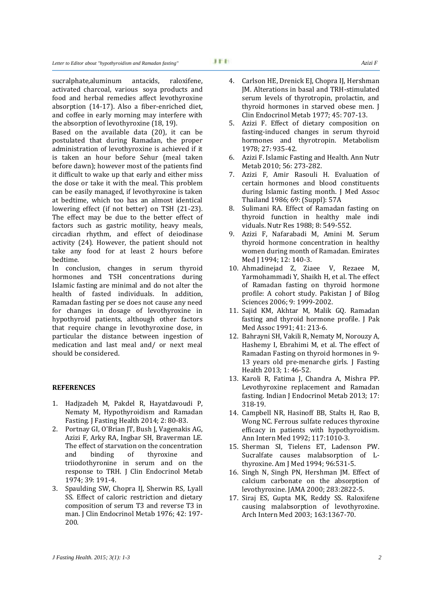the absorption of levothyroxine (18, 19). Based on the available data (20), it can be postulated that during Ramadan, the proper administration of levothyroxine is achieved if it is taken an hour before Sehur (meal taken before dawn); however most of the patients find it difficult to wake up that early and either miss the dose or take it with the meal. This problem can be easily managed, if levothyroxine is taken at bedtime, which too has an almost identical lowering effect (if not better) on TSH (21-23). The effect may be due to the better effect of factors such as gastric motility, heavy meals, circadian rhythm, and effect of deiodinase activity (24). However, the patient should not take any food for at least 2 hours before bedtime.

In conclusion, changes in serum thyroid hormones and TSH concentrations during Islamic fasting are minimal and do not alter the health of fasted individuals. In addition, Ramadan fasting per se does not cause any need for changes in dosage of levothyroxine in hypothyroid patients, although other factors that require change in levothyroxine dose, in particular the distance between ingestion of medication and last meal and/ or next meal should be considered.

## **REFERENCES**

- 1. Hadjzadeh M, Pakdel R, Hayatdavoudi P, Nematy M, Hypothyroidism and Ramadan Fasting. J Fasting Health 2014; 2: 80-83.
- 2. Portnay GI, O'Brian JT, Bush J, Vagenakis AG, Azizi F, Arky RA, Ingbar SH, Braverman LE. [The effect of starvation on the concentration](http://www.ncbi.nlm.nih.gov/pubmed/4835133)  [and binding of thyroxine and](http://www.ncbi.nlm.nih.gov/pubmed/4835133)  [triiodothyronine in serum and on the](http://www.ncbi.nlm.nih.gov/pubmed/4835133)  [response to TRH.](http://www.ncbi.nlm.nih.gov/pubmed/4835133) J Clin Endocrinol Metab 1974; 39: 191-4.
- 3. Spaulding SW, Chopra IJ, Sherwin RS, Lyall SS. [Effect of caloric restriction and dietary](http://www.ncbi.nlm.nih.gov/pubmed/1249190)  [composition of serum T3 and reverse T3 in](http://www.ncbi.nlm.nih.gov/pubmed/1249190)  [man.](http://www.ncbi.nlm.nih.gov/pubmed/1249190) J Clin Endocrinol Metab 1976; 42: 197- 200.
- 4. Carlson HE, Drenick EJ, Chopra IJ, Hershman JM. [Alterations in basal and TRH-stimulated](http://www.ncbi.nlm.nih.gov/pubmed/410822)  [serum levels of thyrotropin, prolactin, and](http://www.ncbi.nlm.nih.gov/pubmed/410822)  [thyroid hormones in starved obese men.](http://www.ncbi.nlm.nih.gov/pubmed/410822) J Clin Endocrinol Metab 1977; 45: 707-13.
- 5. [Azizi F.](http://www.ncbi.nlm.nih.gov/pubmed/?term=Azizi%20F%5BAuthor%5D&cauthor=true&cauthor_uid=97492) Effect of dietary composition on fasting-induced changes in serum thyroid hormones and thyrotropin. [Metabolism](http://www.ncbi.nlm.nih.gov/pubmed?term=27%5Bvolume%5D+AND+935%5Bpage%5D+AND+1978%5Bpdat%5D&cmd=detailssearch) 1978; 27: 935-42.
- 6. Azizi F. Islamic Fasting and Health. Ann Nutr Metab 2010; 56: 273-282.
- 7. Azizi F, Amir Rasouli H. Evaluation of certain hormones and blood constituents during Islamic fasting month. J Med Assoc Thailand 1986; 69: (Suppl): 57A
- 8. Sulimani RA. Effect of Ramadan fasting on thyroid function in healthy male indi viduals. Nutr Res 1988; 8: 549-552.
- 9. Azizi F, Nafarabadi M, Amini M. Serum thyroid hormone concentration in healthy women during month of Ramadan. Emirates Med J 1994; 12: 140-3.
- 10. Ahmadinejad Z, Ziaee V, Rezaee M, Yarmohammadi Y, Shaikh H, et al. The effect of Ramadan fasting on thyroid hormone profile: A cohort study. Pakistan J of Bilog Sciences 2006; 9: 1999-2002.
- 11. Sajid KM, Akhtar M, Malik GQ. [Ramadan](http://www.ncbi.nlm.nih.gov/pubmed/1744968)  [fasting and thyroid hormone](http://www.ncbi.nlm.nih.gov/pubmed/1744968) profile. J Pak Med Assoc 1991; 41: 213-6.
- 12. Bahrayni SH, Vakili R, Nematy M, Norouzy A, Hashemy I, Ebrahimi M, et al. The effect of Ramadan Fasting on thyroid hormones in 9- 13 years old pre-menarche girls. J Fasting Health 2013; 1: 46-52.
- 13. Karoli R, Fatima J, Chandra A, Mishra PP. Levothyroxine replacement and Ramadan fasting. Indian J Endocrinol Metab 2013; 17: 318-19.
- 14. Campbell NR, Hasinoff BB, Stalts H, Rao B, Wong NC. Ferrous sulfate reduces thyroxine efficacy in patients with hypothyroidism. Ann Intern Med 1992; 117:1010-3.
- 15. Sherman SI, Tielens ET, Ladenson PW. Sucralfate causes malabsorption of Lthyroxine. Am J Med 1994; 96:531-5.
- 16. Singh N, Singh PN, Hershman JM. Effect of calcium carbonate on the absorption of levothyroxine. JAMA 2000; 283:2822-5.
- 17. Siraj ES, Gupta MK, Reddy SS. Raloxifene causing malabsorption of levothyroxine. Arch Intern Med 2003; 163:1367-70.